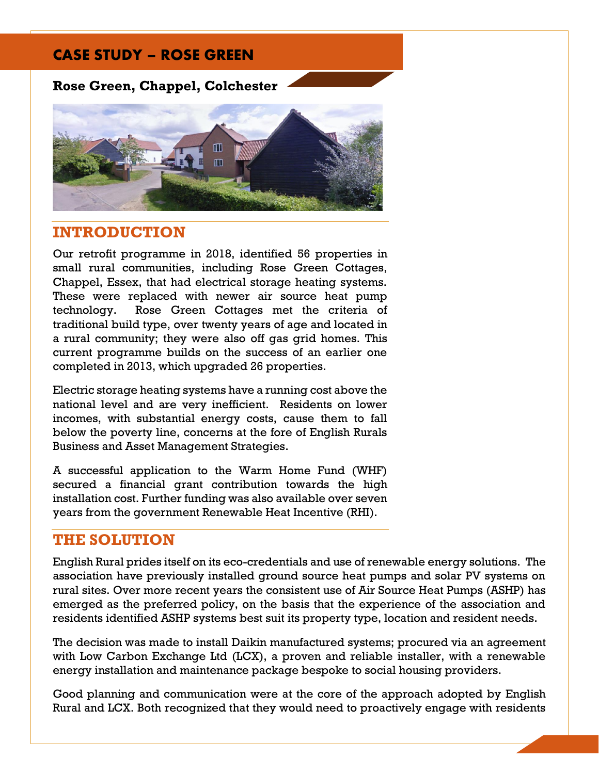# CASE STUDY – ROSE GREEN

## **Rose Green, Chappel, Colchester**



## **INTRODUCTION**

Our retrofit programme in 2018, identified 56 properties in small rural communities, including Rose Green Cottages, Chappel, Essex, that had electrical storage heating systems. These were replaced with newer air source heat pump technology. Rose Green Cottages met the criteria of traditional build type, over twenty years of age and located in a rural community; they were also off gas grid homes. This current programme builds on the success of an earlier one completed in 2013, which upgraded 26 properties.

Electric storage heating systems have a running cost above the national level and are very inefficient. Residents on lower incomes, with substantial energy costs, cause them to fall below the poverty line, concerns at the fore of English Rurals Business and Asset Management Strategies.

A successful application to the Warm Home Fund (WHF) secured a financial grant contribution towards the high installation cost. Further funding was also available over seven years from the government Renewable Heat Incentive (RHI).

### **THE SOLUTION**

English Rural prides itself on its eco-credentials and use of renewable energy solutions. The association have previously installed ground source heat pumps and solar PV systems on rural sites. Over more recent years the consistent use of Air Source Heat Pumps (ASHP) has emerged as the preferred policy, on the basis that the experience of the association and residents identified ASHP systems best suit its property type, location and resident needs.

The decision was made to install Daikin manufactured systems; procured via an agreement with Low Carbon Exchange Ltd (LCX), a proven and reliable installer, with a renewable energy installation and maintenance package bespoke to social housing providers.

Good planning and communication were at the core of the approach adopted by English Rural and LCX. Both recognized that they would need to proactively engage with residents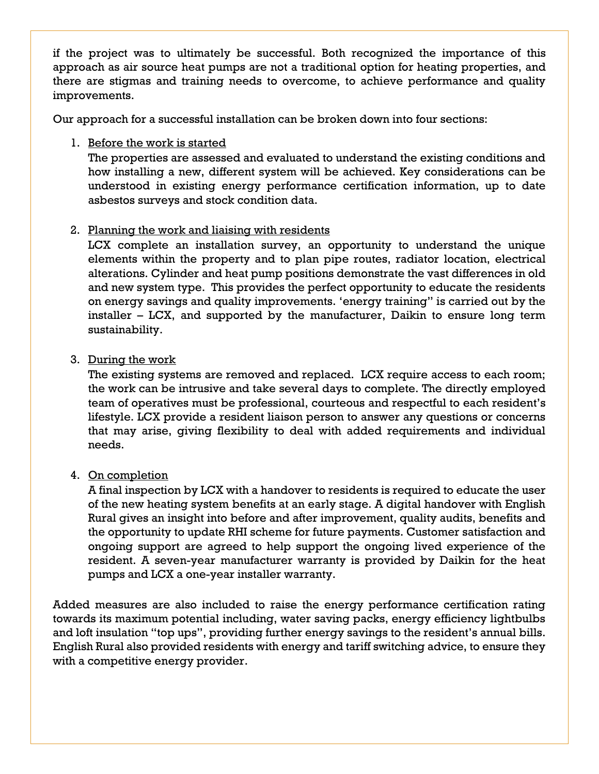if the project was to ultimately be successful. Both recognized the importance of this approach as air source heat pumps are not a traditional option for heating properties, and there are stigmas and training needs to overcome, to achieve performance and quality improvements.

Our approach for a successful installation can be broken down into four sections:

1. Before the work is started

The properties are assessed and evaluated to understand the existing conditions and how installing a new, different system will be achieved. Key considerations can be understood in existing energy performance certification information, up to date asbestos surveys and stock condition data.

#### 2. Planning the work and liaising with residents

LCX complete an installation survey, an opportunity to understand the unique elements within the property and to plan pipe routes, radiator location, electrical alterations. Cylinder and heat pump positions demonstrate the vast differences in old and new system type. This provides the perfect opportunity to educate the residents on energy savings and quality improvements. 'energy training" is carried out by the installer – LCX, and supported by the manufacturer, Daikin to ensure long term sustainability.

#### 3. During the work

The existing systems are removed and replaced. LCX require access to each room; the work can be intrusive and take several days to complete. The directly employed team of operatives must be professional, courteous and respectful to each resident's lifestyle. LCX provide a resident liaison person to answer any questions or concerns that may arise, giving flexibility to deal with added requirements and individual needs.

#### 4. On completion

A final inspection by LCX with a handover to residents is required to educate the user of the new heating system benefits at an early stage. A digital handover with English Rural gives an insight into before and after improvement, quality audits, benefits and the opportunity to update RHI scheme for future payments. Customer satisfaction and ongoing support are agreed to help support the ongoing lived experience of the resident. A seven-year manufacturer warranty is provided by Daikin for the heat pumps and LCX a one-year installer warranty.

Added measures are also included to raise the energy performance certification rating towards its maximum potential including, water saving packs, energy efficiency lightbulbs and loft insulation "top ups", providing further energy savings to the resident's annual bills. English Rural also provided residents with energy and tariff switching advice, to ensure they with a competitive energy provider.